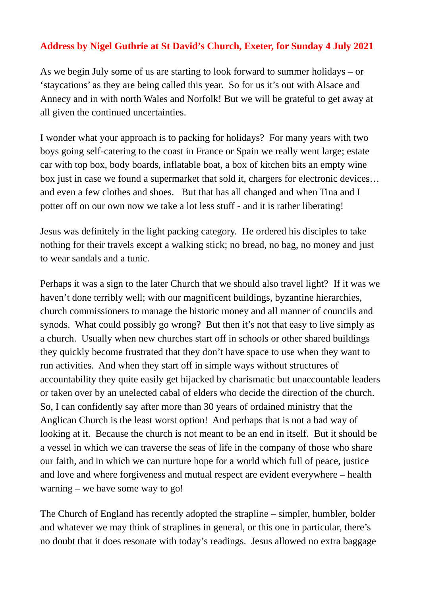## **Address by Nigel Guthrie at St David's Church, Exeter, for Sunday 4 July 2021**

As we begin July some of us are starting to look forward to summer holidays – or 'staycations' as they are being called this year. So for us it's out with Alsace and Annecy and in with north Wales and Norfolk! But we will be grateful to get away at all given the continued uncertainties.

I wonder what your approach is to packing for holidays? For many years with two boys going self-catering to the coast in France or Spain we really went large; estate car with top box, body boards, inflatable boat, a box of kitchen bits an empty wine box just in case we found a supermarket that sold it, chargers for electronic devices… and even a few clothes and shoes. But that has all changed and when Tina and I potter off on our own now we take a lot less stuff - and it is rather liberating!

Jesus was definitely in the light packing category. He ordered his disciples to take nothing for their travels except a walking stick; no bread, no bag, no money and just to wear sandals and a tunic.

Perhaps it was a sign to the later Church that we should also travel light? If it was we haven't done terribly well; with our magnificent buildings, byzantine hierarchies, church commissioners to manage the historic money and all manner of councils and synods. What could possibly go wrong? But then it's not that easy to live simply as a church. Usually when new churches start off in schools or other shared buildings they quickly become frustrated that they don't have space to use when they want to run activities. And when they start off in simple ways without structures of accountability they quite easily get hijacked by charismatic but unaccountable leaders or taken over by an unelected cabal of elders who decide the direction of the church. So, I can confidently say after more than 30 years of ordained ministry that the Anglican Church is the least worst option! And perhaps that is not a bad way of looking at it. Because the church is not meant to be an end in itself. But it should be a vessel in which we can traverse the seas of life in the company of those who share our faith, and in which we can nurture hope for a world which full of peace, justice and love and where forgiveness and mutual respect are evident everywhere – health warning – we have some way to go!

The Church of England has recently adopted the strapline – simpler, humbler, bolder and whatever we may think of straplines in general, or this one in particular, there's no doubt that it does resonate with today's readings. Jesus allowed no extra baggage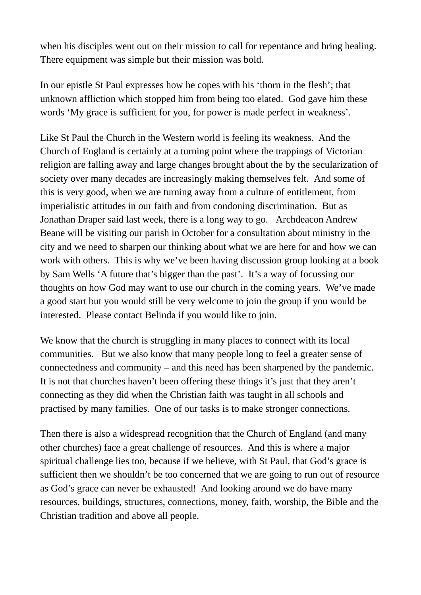when his disciples went out on their mission to call for repentance and bring healing. There equipment was simple but their mission was bold.

In our epistle St Paul expresses how he copes with his 'thorn in the flesh'; that unknown affliction which stopped him from being too elated. God gave him these words 'My grace is sufficient for you, for power is made perfect in weakness'.

Like St Paul the Church in the Western world is feeling its weakness. And the Church of England is certainly at a turning point where the trappings of Victorian religion are falling away and large changes brought about the by the secularization of society over many decades are increasingly making themselves felt. And some of this is very good, when we are turning away from a culture of entitlement, from imperialistic attitudes in our faith and from condoning discrimination. But as Jonathan Draper said last week, there is a long way to go. Archdeacon Andrew Beane will be visiting our parish in October for a consultation about ministry in the city and we need to sharpen our thinking about what we are here for and how we can work with others. This is why we've been having discussion group looking at a book by Sam Wells 'A future that's bigger than the past'. It's a way of focussing our thoughts on how God may want to use our church in the coming years. We've made a good start but you would still be very welcome to join the group if you would be interested. Please contact Belinda if you would like to join.

We know that the church is struggling in many places to connect with its local communities. But we also know that many people long to feel a greater sense of connectedness and community – and this need has been sharpened by the pandemic. It is not that churches haven't been offering these things it's just that they aren't connecting as they did when the Christian faith was taught in all schools and practised by many families. One of our tasks is to make stronger connections.

Then there is also a widespread recognition that the Church of England (and many other churches) face a great challenge of resources. And this is where a major spiritual challenge lies too, because if we believe, with St Paul, that God's grace is sufficient then we shouldn't be too concerned that we are going to run out of resource as God's grace can never be exhausted! And looking around we do have many resources, buildings, structures, connections, money, faith, worship, the Bible and the Christian tradition and above all people.